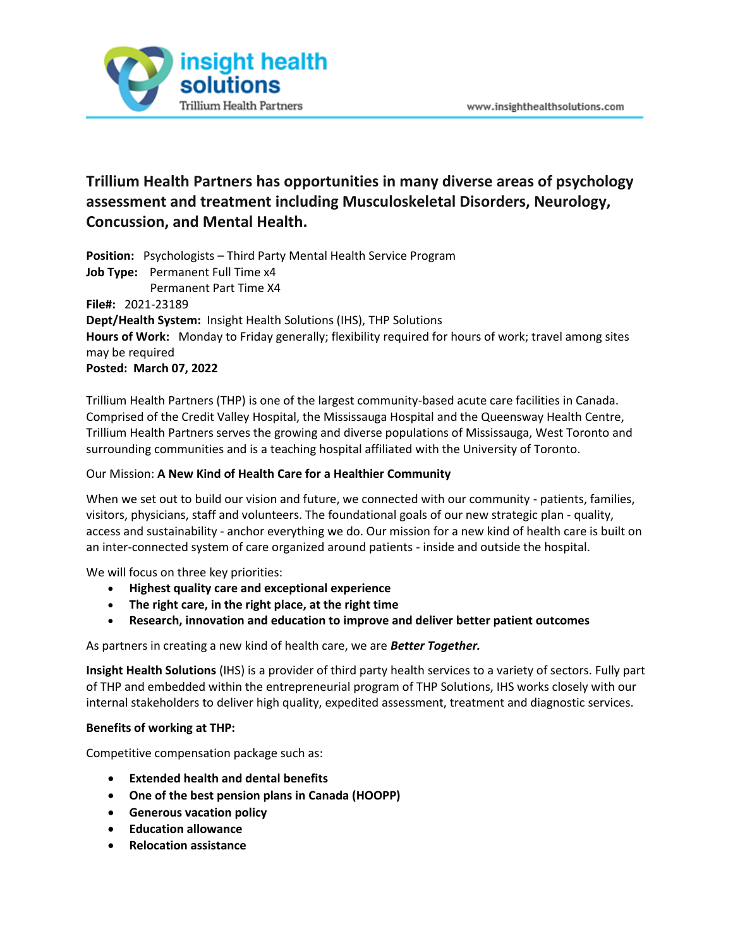

# **Trillium Health Partners has opportunities in many diverse areas of psychology assessment and treatment including Musculoskeletal Disorders, Neurology, Concussion, and Mental Health.**

**Position:** Psychologists – Third Party Mental Health Service Program **Job Type:** Permanent Full Time x4 Permanent Part Time X4 **File#:** 2021-23189 **Dept/Health System:** Insight Health Solutions (IHS), THP Solutions **Hours of Work:** Monday to Friday generally; flexibility required for hours of work; travel among sites may be required **Posted: March 07, 2022**

Trillium Health Partners (THP) is one of the largest community-based acute care facilities in Canada. Comprised of the Credit Valley Hospital, the Mississauga Hospital and the Queensway Health Centre, Trillium Health Partners serves the growing and diverse populations of Mississauga, West Toronto and surrounding communities and is a teaching hospital affiliated with the University of Toronto.

# Our Mission: **A New Kind of Health Care for a Healthier Community**

When we set out to build our vision and future, we connected with our community - patients, families, visitors, physicians, staff and volunteers. The foundational goals of our new strategic plan - quality, access and sustainability - anchor everything we do. Our mission for a new kind of health care is built on an inter-connected system of care organized around patients - inside and outside the hospital.

We will focus on three key priorities:

- **Highest quality care and exceptional experience**
- **The right care, in the right place, at the right time**
- **Research, innovation and education to improve and deliver better patient outcomes**

As partners in creating a new kind of health care, we are *Better Together.*

**Insight Health Solutions** (IHS) is a provider of third party health services to a variety of sectors. Fully part of THP and embedded within the entrepreneurial program of THP Solutions, IHS works closely with our internal stakeholders to deliver high quality, expedited assessment, treatment and diagnostic services.

### **Benefits of working at THP:**

Competitive compensation package such as:

- **Extended health and dental benefits**
- **One of the best pension plans in Canada (HOOPP)**
- **Generous vacation policy**
- **Education allowance**
- **Relocation assistance**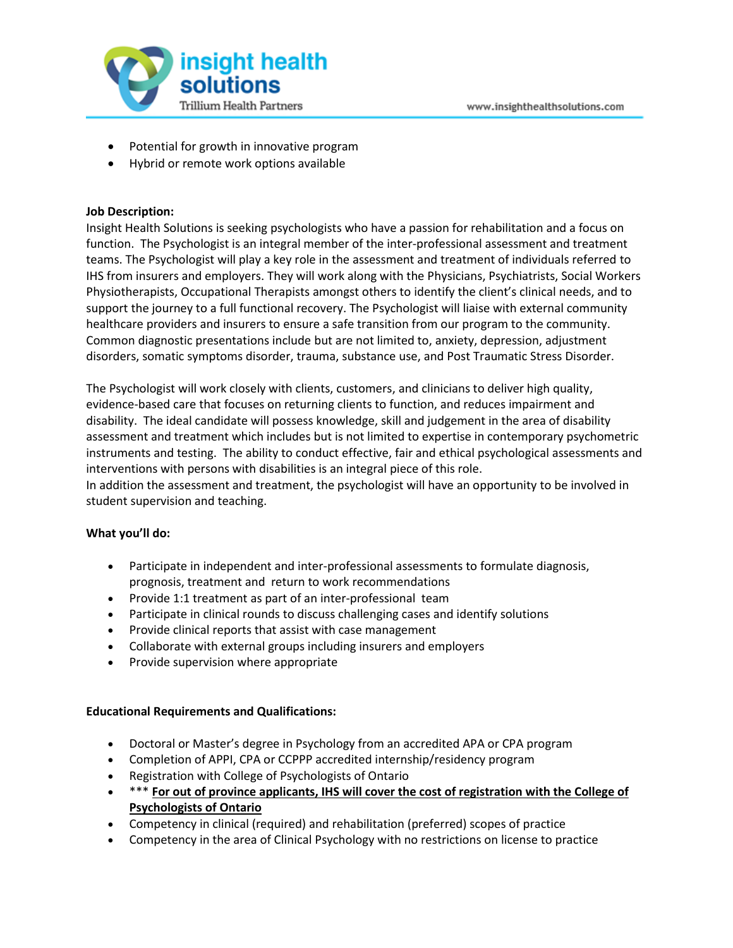

- Potential for growth in innovative program
- Hybrid or remote work options available

## **Job Description:**

Insight Health Solutions is seeking psychologists who have a passion for rehabilitation and a focus on function. The Psychologist is an integral member of the inter-professional assessment and treatment teams. The Psychologist will play a key role in the assessment and treatment of individuals referred to IHS from insurers and employers. They will work along with the Physicians, Psychiatrists, Social Workers Physiotherapists, Occupational Therapists amongst others to identify the client's clinical needs, and to support the journey to a full functional recovery. The Psychologist will liaise with external community healthcare providers and insurers to ensure a safe transition from our program to the community. Common diagnostic presentations include but are not limited to, anxiety, depression, adjustment disorders, somatic symptoms disorder, trauma, substance use, and Post Traumatic Stress Disorder.

The Psychologist will work closely with clients, customers, and clinicians to deliver high quality, evidence-based care that focuses on returning clients to function, and reduces impairment and disability. The ideal candidate will possess knowledge, skill and judgement in the area of disability assessment and treatment which includes but is not limited to expertise in contemporary psychometric instruments and testing. The ability to conduct effective, fair and ethical psychological assessments and interventions with persons with disabilities is an integral piece of this role.

In addition the assessment and treatment, the psychologist will have an opportunity to be involved in student supervision and teaching.

## **What you'll do:**

- Participate in independent and inter-professional assessments to formulate diagnosis, prognosis, treatment and return to work recommendations
- Provide 1:1 treatment as part of an inter-professional team
- Participate in clinical rounds to discuss challenging cases and identify solutions
- Provide clinical reports that assist with case management
- Collaborate with external groups including insurers and employers
- Provide supervision where appropriate

### **Educational Requirements and Qualifications:**

- Doctoral or Master's degree in Psychology from an accredited APA or CPA program
- Completion of APPI, CPA or CCPPP accredited internship/residency program
- Registration with College of Psychologists of Ontario
- \*\*\* **For out of province applicants, IHS will cover the cost of registration with the College of Psychologists of Ontario**
- Competency in clinical (required) and rehabilitation (preferred) scopes of practice
- Competency in the area of Clinical Psychology with no restrictions on license to practice